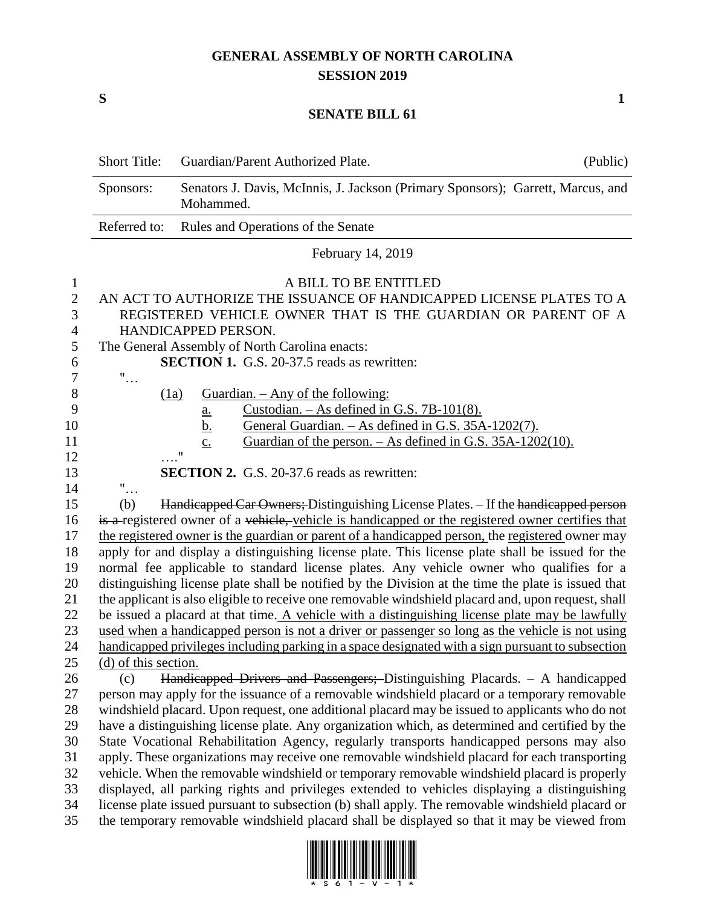## **GENERAL ASSEMBLY OF NORTH CAROLINA SESSION 2019**

**S 1**

## **SENATE BILL 61**

|                                                                | <b>Short Title:</b>                                                                                                                                                                                                                                                                                                                                                                                                                                                                                                                                                                                                                                                                                                                                                                                                                                                                                                                                                                         | Guardian/Parent Authorized Plate.                                                                                                                                                                                                                                                                                                                                                                                                                                                                                                                                                                                                                                                                                                                                                                                                                                                                                                                                                                                                           | (Public) |  |
|----------------------------------------------------------------|---------------------------------------------------------------------------------------------------------------------------------------------------------------------------------------------------------------------------------------------------------------------------------------------------------------------------------------------------------------------------------------------------------------------------------------------------------------------------------------------------------------------------------------------------------------------------------------------------------------------------------------------------------------------------------------------------------------------------------------------------------------------------------------------------------------------------------------------------------------------------------------------------------------------------------------------------------------------------------------------|---------------------------------------------------------------------------------------------------------------------------------------------------------------------------------------------------------------------------------------------------------------------------------------------------------------------------------------------------------------------------------------------------------------------------------------------------------------------------------------------------------------------------------------------------------------------------------------------------------------------------------------------------------------------------------------------------------------------------------------------------------------------------------------------------------------------------------------------------------------------------------------------------------------------------------------------------------------------------------------------------------------------------------------------|----------|--|
|                                                                | Sponsors:                                                                                                                                                                                                                                                                                                                                                                                                                                                                                                                                                                                                                                                                                                                                                                                                                                                                                                                                                                                   | Senators J. Davis, McInnis, J. Jackson (Primary Sponsors); Garrett, Marcus, and<br>Mohammed.                                                                                                                                                                                                                                                                                                                                                                                                                                                                                                                                                                                                                                                                                                                                                                                                                                                                                                                                                |          |  |
|                                                                | Referred to:<br>Rules and Operations of the Senate                                                                                                                                                                                                                                                                                                                                                                                                                                                                                                                                                                                                                                                                                                                                                                                                                                                                                                                                          |                                                                                                                                                                                                                                                                                                                                                                                                                                                                                                                                                                                                                                                                                                                                                                                                                                                                                                                                                                                                                                             |          |  |
|                                                                | February 14, 2019                                                                                                                                                                                                                                                                                                                                                                                                                                                                                                                                                                                                                                                                                                                                                                                                                                                                                                                                                                           |                                                                                                                                                                                                                                                                                                                                                                                                                                                                                                                                                                                                                                                                                                                                                                                                                                                                                                                                                                                                                                             |          |  |
| 1<br>$\mathbf{2}$<br>3<br>$\overline{4}$<br>5                  | A BILL TO BE ENTITLED<br>AN ACT TO AUTHORIZE THE ISSUANCE OF HANDICAPPED LICENSE PLATES TO A<br>REGISTERED VEHICLE OWNER THAT IS THE GUARDIAN OR PARENT OF A<br>HANDICAPPED PERSON.<br>The General Assembly of North Carolina enacts:                                                                                                                                                                                                                                                                                                                                                                                                                                                                                                                                                                                                                                                                                                                                                       |                                                                                                                                                                                                                                                                                                                                                                                                                                                                                                                                                                                                                                                                                                                                                                                                                                                                                                                                                                                                                                             |          |  |
| 6<br>$\tau$                                                    | $"$                                                                                                                                                                                                                                                                                                                                                                                                                                                                                                                                                                                                                                                                                                                                                                                                                                                                                                                                                                                         | <b>SECTION 1.</b> G.S. 20-37.5 reads as rewritten:                                                                                                                                                                                                                                                                                                                                                                                                                                                                                                                                                                                                                                                                                                                                                                                                                                                                                                                                                                                          |          |  |
| 8<br>9<br>10<br>11<br>12                                       | (1a)                                                                                                                                                                                                                                                                                                                                                                                                                                                                                                                                                                                                                                                                                                                                                                                                                                                                                                                                                                                        | Guardian. $-$ Any of the following:<br>Custodian. $-$ As defined in G.S. 7B-101(8).<br>$\frac{a}{b}$ .<br>General Guardian. - As defined in G.S. 35A-1202(7).<br>Guardian of the person. $-$ As defined in G.S. 35A-1202(10).<br>$\underline{c}$ .<br>$^{\prime\prime}$                                                                                                                                                                                                                                                                                                                                                                                                                                                                                                                                                                                                                                                                                                                                                                     |          |  |
| 13                                                             | <b>SECTION 2.</b> G.S. 20-37.6 reads as rewritten:                                                                                                                                                                                                                                                                                                                                                                                                                                                                                                                                                                                                                                                                                                                                                                                                                                                                                                                                          |                                                                                                                                                                                                                                                                                                                                                                                                                                                                                                                                                                                                                                                                                                                                                                                                                                                                                                                                                                                                                                             |          |  |
| 14                                                             | $"$                                                                                                                                                                                                                                                                                                                                                                                                                                                                                                                                                                                                                                                                                                                                                                                                                                                                                                                                                                                         |                                                                                                                                                                                                                                                                                                                                                                                                                                                                                                                                                                                                                                                                                                                                                                                                                                                                                                                                                                                                                                             |          |  |
| 15<br>16<br>17<br>18<br>19<br>20<br>21<br>22<br>23<br>24<br>25 | (b)                                                                                                                                                                                                                                                                                                                                                                                                                                                                                                                                                                                                                                                                                                                                                                                                                                                                                                                                                                                         | Handicapped Car Owners; Distinguishing License Plates. - If the handicapped person<br>is a registered owner of a vehicle, vehicle is handicapped or the registered owner certifies that<br>the registered owner is the guardian or parent of a handicapped person, the registered owner may<br>apply for and display a distinguishing license plate. This license plate shall be issued for the<br>normal fee applicable to standard license plates. Any vehicle owner who qualifies for a<br>distinguishing license plate shall be notified by the Division at the time the plate is issued that<br>the applicant is also eligible to receive one removable windshield placard and, upon request, shall<br>be issued a placard at that time. A vehicle with a distinguishing license plate may be lawfully<br>used when a handicapped person is not a driver or passenger so long as the vehicle is not using<br>handicapped privileges including parking in a space designated with a sign pursuant to subsection<br>(d) of this section. |          |  |
| 26<br>27<br>28<br>29<br>30<br>31<br>32<br>33<br>34<br>35       | Handicapped Drivers and Passengers; Distinguishing Placards. - A handicapped<br>(c)<br>person may apply for the issuance of a removable windshield placard or a temporary removable<br>windshield placard. Upon request, one additional placard may be issued to applicants who do not<br>have a distinguishing license plate. Any organization which, as determined and certified by the<br>State Vocational Rehabilitation Agency, regularly transports handicapped persons may also<br>apply. These organizations may receive one removable windshield placard for each transporting<br>vehicle. When the removable windshield or temporary removable windshield placard is properly<br>displayed, all parking rights and privileges extended to vehicles displaying a distinguishing<br>license plate issued pursuant to subsection (b) shall apply. The removable windshield placard or<br>the temporary removable windshield placard shall be displayed so that it may be viewed from |                                                                                                                                                                                                                                                                                                                                                                                                                                                                                                                                                                                                                                                                                                                                                                                                                                                                                                                                                                                                                                             |          |  |